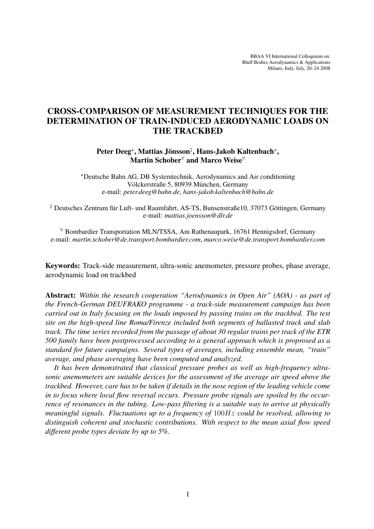BBAA VI International Colloquium on: Bluff Bodies Aerodynamics & Applications Milano, Italy, July, 20–24 2008

# CROSS-COMPARISON OF MEASUREMENT TECHNIQUES FOR THE DETERMINATION OF TRAIN-INDUCED AERODYNAMIC LOADS ON THE TRACKBED

Peter Deeg\*, Mattias Jönsson<sup>‡</sup>, Hans-Jakob Kaltenbach\*, Martin Schober<sup>∀</sup> and Marco Weise<sup>∀</sup>

?Deutsche Bahn AG, DB Systemtechnik, Aerodynamics and Air conditioning Völckerstraße 5, 80939 München, Germany e-mail: *peter.deeg@bahn.de*, *hans-jakob.kaltenbach@bahn.de*

<sup>‡</sup> Deutsches Zentrum für Luft- und Raumfahrt, AS-TS, Bunsenstraße10, 37073 Göttingen, Germany e-mail: *mattias.joensson@dlr.de*

<sup>∀</sup> Bombardier Transportation MLN/TSSA, Am Rathenaupark, 16761 Hennigsdorf, Germany e-mail: *martin.schober@de.transport.bombardier.com*, *marco.weise@de.transport.bombardier.com*

Keywords: Track-side measurement, ultra-sonic anemometer, pressure probes, phase average, aerodynamic load on trackbed

Abstract: *Within the research cooperation "Aerodynamics in Open Air" (AOA) - as part of the French-German DEUFRAKO programme - a track-side measurement campaign has been carried out in Italy focusing on the loads imposed by passing trains on the trackbed. The test site on the high-speed line Roma/Firenze included both segments of ballasted track and slab track. The time series recorded from the passage of about 30 regular trains per track of the ETR 500 family have been postprocessed according to a general approach which is proprosed as a standard for future campaigns. Several types of averages, including ensemble mean, "train" average, and phase averaging have been computed and analyzed.*

*It has been demonstrated that classical pressure probes as well as high-frequency ultrasonic anemometers are suitable devices for the assessment of the average air speed above the trackbed. However, care has to be taken if details in the nose region of the leading vehicle come in to focus where local flow reversal occurs. Pressure probe signals are spoiled by the occurrence of resonances in the tubing. Low-pass filtering is a suitable way to arrive at physically meaningful signals. Fluctuations up to a frequency of* 100Hz *could be resolved, allowing to distinguish coherent and stochastic contributions. With respect to the mean axial flow speed different probe types deviate by up to 5%.*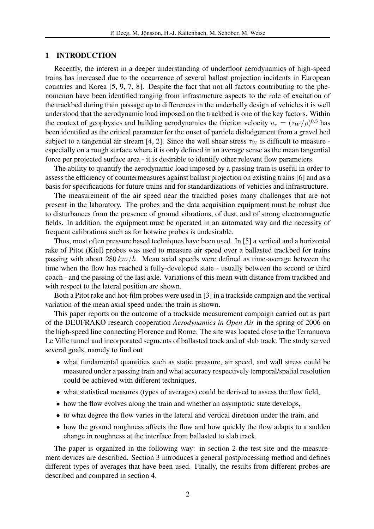#### 1 INTRODUCTION

Recently, the interest in a deeper understanding of underfloor aerodynamics of high-speed trains has increased due to the occurrence of several ballast projection incidents in European countries and Korea [5, 9, 7, 8]. Despite the fact that not all factors contributing to the phenomenon have been identified ranging from infrastructure aspects to the role of excitation of the trackbed during train passage up to differences in the underbelly design of vehicles it is well understood that the aerodynamic load imposed on the trackbed is one of the key factors. Within the context of geophysics and building aerodynamics the friction velocity  $u_{\tau} = (\tau_W/\rho)^{0.5}$  has been identified as the critical parameter for the onset of particle dislodgement from a gravel bed subject to a tangential air stream [4, 2]. Since the wall shear stress  $\tau_W$  is difficult to measure especially on a rough surface where it is only defined in an average sense as the mean tangential force per projected surface area - it is desirable to identify other relevant flow parameters.

The ability to quantify the aerodynamic load imposed by a passing train is useful in order to assess the efficiency of countermeasures against ballast projection on existing trains [6] and as a basis for specifications for future trains and for standardizations of vehicles and infrastructure.

The measurement of the air speed near the trackbed poses many challenges that are not present in the laboratory. The probes and the data acquisition equipment must be robust due to disturbances from the presence of ground vibrations, of dust, and of strong electromagnetic fields. In addition, the equipment must be operated in an automated way and the necessity of frequent calibrations such as for hotwire probes is undesirable.

Thus, most often pressure based techniques have been used. In [5] a vertical and a horizontal rake of Pitot (Kiel) probes was used to measure air speed over a ballasted trackbed for trains passing with about 280  $km/h$ . Mean axial speeds were defined as time-average between the time when the flow has reached a fully-developed state - usually between the second or third coach - and the passing of the last axle. Variations of this mean with distance from trackbed and with respect to the lateral position are shown.

Both a Pitot rake and hot-film probes were used in [3] in a trackside campaign and the vertical variation of the mean axial speed under the train is shown.

This paper reports on the outcome of a trackside measurement campaign carried out as part of the DEUFRAKO research cooperation *Aerodynamics in Open Air* in the spring of 2006 on the high-speed line connecting Florence and Rome. The site was located close to the Terranuova Le Ville tunnel and incorporated segments of ballasted track and of slab track. The study served several goals, namely to find out

- what fundamental quantities such as static pressure, air speed, and wall stress could be measured under a passing train and what accuracy respectively temporal/spatial resolution could be achieved with different techniques,
- what statistical measures (types of averages) could be derived to assess the flow field,
- how the flow evolves along the train and whether an asymptotic state develops,
- to what degree the flow varies in the lateral and vertical direction under the train, and
- how the ground roughness affects the flow and how quickly the flow adapts to a sudden change in roughness at the interface from ballasted to slab track.

The paper is organized in the following way: in section 2 the test site and the measurement devices are described. Section 3 introduces a general postprocessing method and defines different types of averages that have been used. Finally, the results from different probes are described and compared in section 4.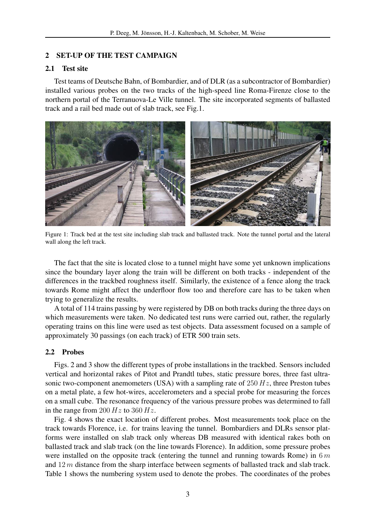# 2 SET-UP OF THE TEST CAMPAIGN

# 2.1 Test site

Test teams of Deutsche Bahn, of Bombardier, and of DLR (as a subcontractor of Bombardier) installed various probes on the two tracks of the high-speed line Roma-Firenze close to the northern portal of the Terranuova-Le Ville tunnel. The site incorporated segments of ballasted track and a rail bed made out of slab track, see Fig.1.



Figure 1: Track bed at the test site including slab track and ballasted track. Note the tunnel portal and the lateral wall along the left track.

The fact that the site is located close to a tunnel might have some yet unknown implications since the boundary layer along the train will be different on both tracks - independent of the differences in the trackbed roughness itself. Similarly, the existence of a fence along the track towards Rome might affect the underfloor flow too and therefore care has to be taken when trying to generalize the results.

A total of 114 trains passing by were registered by DB on both tracks during the three days on which measurements were taken. No dedicated test runs were carried out, rather, the regularly operating trains on this line were used as test objects. Data assessment focused on a sample of approximately 30 passings (on each track) of ETR 500 train sets.

# 2.2 Probes

Figs. 2 and 3 show the different types of probe installations in the trackbed. Sensors included vertical and horizontal rakes of Pitot and Prandtl tubes, static pressure bores, three fast ultrasonic two-component anemometers (USA) with a sampling rate of  $250 Hz$ , three Preston tubes on a metal plate, a few hot-wires, accelerometers and a special probe for measuring the forces on a small cube. The resonance frequency of the various pressure probes was determined to fall in the range from 200  $Hz$  to 360  $Hz$ .

Fig. 4 shows the exact location of different probes. Most measurements took place on the track towards Florence, i.e. for trains leaving the tunnel. Bombardiers and DLRs sensor platforms were installed on slab track only whereas DB measured with identical rakes both on ballasted track and slab track (on the line towards Florence). In addition, some pressure probes were installed on the opposite track (entering the tunnel and running towards Rome) in  $6m$ and  $12 m$  distance from the sharp interface between segments of ballasted track and slab track. Table 1 shows the numbering system used to denote the probes. The coordinates of the probes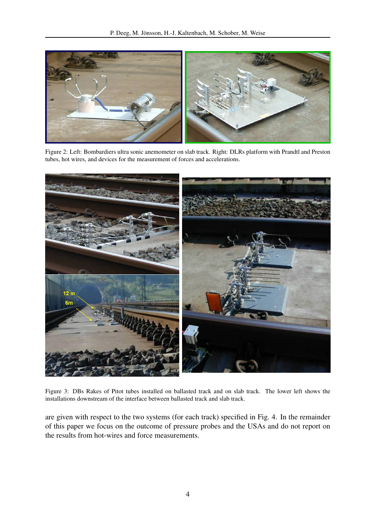

Figure 2: Left: Bombardiers ultra sonic anemometer on slab track. Right: DLRs platform with Prandtl and Preston tubes, hot wires, and devices for the measurement of forces and accelerations.



Figure 3: DBs Rakes of Pitot tubes installed on ballasted track and on slab track. The lower left shows the installations downstream of the interface between ballasted track and slab track.

are given with respect to the two systems (for each track) specified in Fig. 4. In the remainder of this paper we focus on the outcome of pressure probes and the USAs and do not report on the results from hot-wires and force measurements.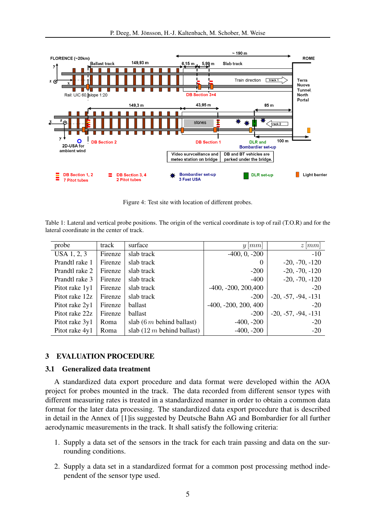

Figure 4: Test site with location of different probes.

Table 1: Lateral and vertical probe positions. The origin of the vertical coordinate is top of rail (T.O.R) and for the lateral coordinate in the center of track.

| probe          | track   | surface                       | $y \,  mm $            | $z \,  mm $           |
|----------------|---------|-------------------------------|------------------------|-----------------------|
| USA 1, 2, 3    | Firenze | slab track                    | $-400, 0, -200$        | $-10$                 |
| Prandtl rake 1 | Firenze | slab track                    | $\theta$               | $-20, -70, -120$      |
| Prandtl rake 2 | Firenze | slab track                    | $-200$                 | $-20, -70, -120$      |
| Prandtl rake 3 | Firenze | slab track                    | -400                   | $-20, -70, -120$      |
| Pitot rake 1y1 | Firenze | slab track                    | $-400, -200, 200, 400$ | $-20$                 |
| Pitot rake 12z | Firenze | slab track                    | $-200$                 | $-20, -57, -94, -131$ |
| Pitot rake 2y1 | Firenze | ballast                       | $-400, -200, 200, 400$ | $-20$                 |
| Pitot rake 22z | Firenze | ballast                       | $-200$                 | $-20, -57, -94, -131$ |
| Pitot rake 3y1 | Roma    | slab $(6 m$ behind ballast)   | $-400, -200$           | $-20$                 |
| Pitot rake 4y1 | Roma    | slab $(12 m)$ behind ballast) | $-400, -200$           | $-20$                 |

#### 3 EVALUATION PROCEDURE

### 3.1 Generalized data treatment

A standardized data export procedure and data format were developed within the AOA project for probes mounted in the track. The data recorded from different sensor types with different measuring rates is treated in a standardized manner in order to obtain a common data format for the later data processing. The standardized data export procedure that is described in detail in the Annex of [1]is suggested by Deutsche Bahn AG and Bombardier for all further aerodynamic measurements in the track. It shall satisfy the following criteria:

- 1. Supply a data set of the sensors in the track for each train passing and data on the surrounding conditions.
- 2. Supply a data set in a standardized format for a common post processing method independent of the sensor type used.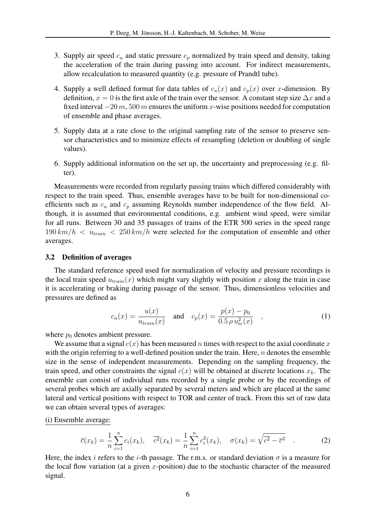- 3. Supply air speed  $c_u$  and static pressure  $c_p$  normalized by train speed and density, taking the acceleration of the train during passing into account. For indirect measurements, allow recalculation to measured quantity (e.g. pressure of Prandtl tube).
- 4. Supply a well defined format for data tables of  $c_u(x)$  and  $c_p(x)$  over x-dimension. By definition,  $x = 0$  is the first axle of the train over the sensor. A constant step size  $\Delta x$  and a fixed interval  $-20 m$ , 500 m ensures the uniform x-wise positions needed for computation of ensemble and phase averages.
- 5. Supply data at a rate close to the original sampling rate of the sensor to preserve sensor characteristics and to minimize effects of resampling (deletion or doubling of single values).
- 6. Supply additional information on the set up, the uncertainty and preprocessing (e.g. filter).

Measurements were recorded from regularly passing trains which differed considerably with respect to the train speed. Thus, ensemble averages have to be built for non-dimensional coefficients such as  $c_u$  and  $c_p$  assuming Reynolds number independence of the flow field. Although, it is assumed that environmental conditions, e.g. ambient wind speed, were similar for all runs. Between 30 and 35 passages of trains of the ETR 500 series in the speed range  $190 \, km/h \, < u_{\text{train}} \, < 250 \, km/h$  were selected for the computation of ensemble and other averages.

# 3.2 Definition of averages

The standard reference speed used for normalization of velocity and pressure recordings is the local train speed  $u_{train}(x)$  which might vary slightly with position x along the train in case it is accelerating or braking during passage of the sensor. Thus, dimensionless velocities and pressures are defined as

$$
c_u(x) = \frac{u(x)}{u_{train}(x)} \quad \text{and} \quad c_p(x) = \frac{p(x) - p_0}{0.5 \rho u_{tr}^2(x)} \quad , \tag{1}
$$

where  $p_0$  denotes ambient pressure.

We assume that a signal  $c(x)$  has been measured n times with respect to the axial coordinate x with the origin referring to a well-defined position under the train. Here,  $n$  denotes the ensemble size in the sense of independent measurements. Depending on the sampling frequency, the train speed, and other constraints the signal  $c(x)$  will be obtained at discrete locations  $x_k$ . The ensemble can consist of individual runs recorded by a single probe or by the recordings of several probes which are axially separated by several meters and which are placed at the same lateral and vertical positions with respect to TOR and center of track. From this set of raw data we can obtain several types of averages:

(i) Ensemble average:

$$
\overline{c}(x_k) = \frac{1}{n} \sum_{i=1}^n c_i(x_k), \quad \overline{c^2}(x_k) = \frac{1}{n} \sum_{i=1}^n c_i^2(x_k), \quad \sigma(x_k) = \sqrt{\overline{c^2} - \overline{c}^2} \quad . \tag{2}
$$

Here, the index i refers to the i-th passage. The r.m.s. or standard deviation  $\sigma$  is a measure for the local flow variation (at a given x-position) due to the stochastic character of the measured signal.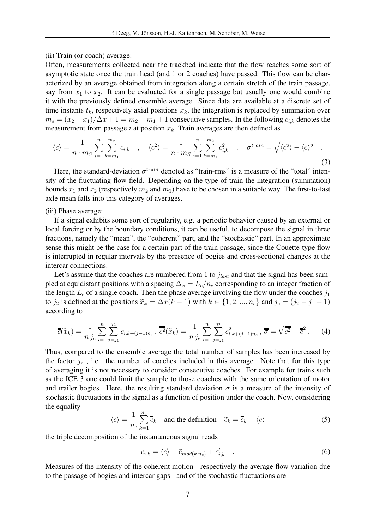#### (ii) Train (or coach) average:

Often, measurements collected near the trackbed indicate that the flow reaches some sort of asymptotic state once the train head (and 1 or 2 coaches) have passed. This flow can be characterized by an average obtained from integration along a certain stretch of the train passage, say from  $x_1$  to  $x_2$ . It can be evaluated for a single passage but usually one would combine it with the previously defined ensemble average. Since data are available at a discrete set of time instants  $t_k$ , respectively axial positions  $x_k$ , the integration is replaced by summation over  $m_s = (x_2 - x_1)/\Delta x + 1 = m_2 - m_1 + 1$  consecutive samples. In the following  $c_{i,k}$  denotes the measurement from passage i at position  $x_k$ . Train averages are then defined as

$$
\langle c \rangle = \frac{1}{n \cdot m_S} \sum_{i=1}^{n} \sum_{k=m_1}^{m_2} c_{i,k} , \quad \langle c^2 \rangle = \frac{1}{n \cdot m_S} \sum_{i=1}^{n} \sum_{k=m_1}^{m_2} c_{i,k}^2 , \quad \sigma^{train} = \sqrt{\langle c^2 \rangle - \langle c \rangle^2} .
$$
\n(3)

Here, the standard-deviation  $\sigma^{train}$  denoted as "train-rms" is a measure of the "total" intensity of the fluctuating flow field. Depending on the type of train the integration (summation) bounds  $x_1$  and  $x_2$  (respectively  $m_2$  and  $m_1$ ) have to be chosen in a suitable way. The first-to-last axle mean falls into this category of averages.

(iii) Phase average:

If a signal exhibits some sort of regularity, e.g. a periodic behavior caused by an external or local forcing or by the boundary conditions, it can be useful, to decompose the signal in three fractions, namely the "mean", the "coherent" part, and the "stochastic" part. In an approximate sense this might be the case for a certain part of the train passage, since the Couette-type flow is interrupted in regular intervals by the presence of bogies and cross-sectional changes at the intercar connections.

Let's assume that the coaches are numbered from 1 to  $j_{last}$  and that the signal has been sampled at equidistant positions with a spacing  $\Delta_x = L_c/n_c$  corresponding to an integer fraction of the length  $L_c$  of a single coach. Then the phase average involving the flow under the coaches  $j_1$ to  $j_2$  is defined at the positions  $\tilde{x}_k = \Delta x(k-1)$  with  $k \in \{1, 2, ..., n_c\}$  and  $j_c = (j_2 - j_1 + 1)$ according to

$$
\overline{\overline{c}}(\widetilde{x}_k) = \frac{1}{n} \sum_{i=1}^n \sum_{j=j_1}^{j_2} c_{i,k+(j-1)n_c}, \, \overline{\overline{c^2}}(\widetilde{x}_k) = \frac{1}{n} \sum_{i=1}^n \sum_{j=j_1}^{j_2} c_{i,k+(j-1)n_c}^2, \, \overline{\overline{\sigma}} = \sqrt{\overline{c^2} - \overline{\overline{c}}^2} \,. \tag{4}
$$

Thus, compared to the ensemble average the total number of samples has been increased by the factor  $j_c$ , i.e. the number of coaches included in this average. Note that for this type of averaging it is not necessary to consider consecutive coaches. For example for trains such as the ICE 3 one could limit the sample to those coaches with the same orientation of motor and trailer bogies. Here, the resulting standard deviation  $\bar{\bar{\sigma}}$  is a measure of the intensity of stochastic fluctuations in the signal as a function of position under the coach. Now, considering the equality

$$
\langle c \rangle = \frac{1}{n_c} \sum_{k=1}^{n_c} \overline{\overline{c}}_k \quad \text{and the definition} \quad \widetilde{c}_k = \overline{\overline{c}}_k - \langle c \rangle \tag{5}
$$

the triple decomposition of the instantaneous signal reads

$$
c_{i,k} = \langle c \rangle + \tilde{c}_{mod(k,n_c)} + c'_{i,k} \quad . \tag{6}
$$

Measures of the intensity of the coherent motion - respectively the average flow variation due to the passage of bogies and intercar gaps - and of the stochastic fluctuations are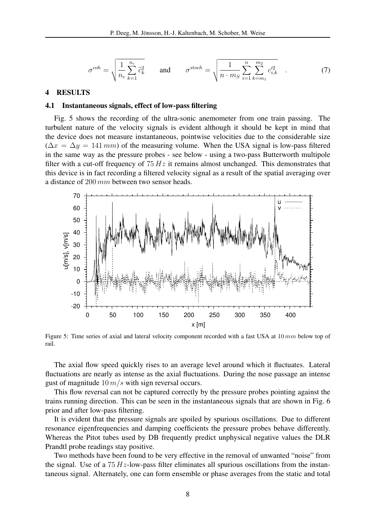$$
\sigma^{coh} = \sqrt{\frac{1}{n_c} \sum_{k=1}^{n_c} \tilde{c}_k^2} \quad \text{and} \quad \sigma^{stoch} = \sqrt{\frac{1}{n \cdot m_S} \sum_{i=1}^{n} \sum_{k=m_1}^{m_2} c_{i,k}^2} \quad . \tag{7}
$$

#### 4 RESULTS

#### 4.1 Instantaneous signals, effect of low-pass filtering

Fig. 5 shows the recording of the ultra-sonic anemometer from one train passing. The turbulent nature of the velocity signals is evident although it should be kept in mind that the device does not measure instantaneous, pointwise velocities due to the considerable size  $(\Delta x = \Delta y = 141$  mm) of the measuring volume. When the USA signal is low-pass filtered in the same way as the pressure probes - see below - using a two-pass Butterworth multipole filter with a cut-off frequency of  $75 Hz$  it remains almost unchanged. This demonstrates that this device is in fact recording a filtered velocity signal as a result of the spatial averaging over a distance of 200 mm between two sensor heads.



Figure 5: Time series of axial and lateral velocity component recorded with a fast USA at 10 mm below top of rail.

The axial flow speed quickly rises to an average level around which it fluctuates. Lateral fluctuations are nearly as intense as the axial fluctuations. During the nose passage an intense gust of magnitude  $10 \, m/s$  with sign reversal occurs.

This flow reversal can not be captured correctly by the pressure probes pointing against the trains running direction. This can be seen in the instantaneous signals that are shown in Fig. 6 prior and after low-pass filtering.

It is evident that the pressure signals are spoiled by spurious oscillations. Due to different resonance eigenfrequencies and damping coefficients the pressure probes behave differently. Whereas the Pitot tubes used by DB frequently predict unphysical negative values the DLR Prandtl probe readings stay positive.

Two methods have been found to be very effective in the removal of unwanted "noise" from the signal. Use of a  $75 Hz$ -low-pass filter eliminates all spurious oscillations from the instantaneous signal. Alternately, one can form ensemble or phase averages from the static and total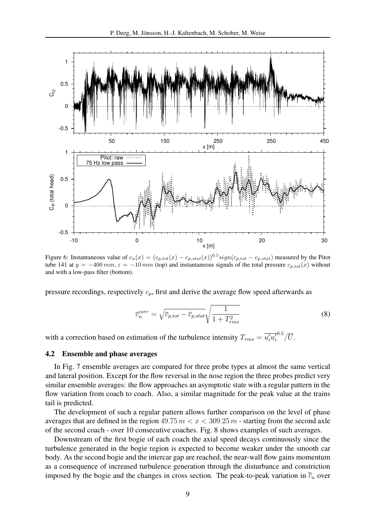

Figure 6: Instantaneous value of  $c_u(x) = (c_{p,tot}(x) - c_{p,stat}(x))^{0.5} sign(c_{p,tot} - c_{p,stat})$  measured by the Pitot tube 141 at  $y = -400$  mm,  $z = -10$  mm (top) and instantaneous signals of the total pressure  $c_{p,tot}(x)$  without and with a low-pass filter (bottom).

pressure recordings, respectively  $c_p$ , first and derive the average flow speed afterwards as

$$
\overline{c}_{u}^{corr} = \sqrt{\overline{c}_{p,tot} - \overline{c}_{p,stat}} \sqrt{\frac{1}{1 + T_{rms}^2}}
$$
(8)

with a correction based on estimation of the turbulence intensity  $T_{rms} = \overline{u'_i u'_i}$  $^{0.5}/\overline{U}.$ 

# 4.2 Ensemble and phase averages

In Fig. 7 ensemble averages are compared for three probe types at almost the same vertical and lateral position. Except for the flow reversal in the nose region the three probes predict very similar ensemble averages: the flow approaches an asymptotic state with a regular pattern in the flow variation from coach to coach. Also, a similar magnitude for the peak value at the trains tail is predicted.

The development of such a regular pattern allows further comparison on the level of phase averages that are defined in the region  $49.75\,m < x < 309.25\,m$  - starting from the second axle of the second coach - over 10 consecutive coaches. Fig. 8 shows examples of such averages.

Downstream of the first bogie of each coach the axial speed decays continuously since the turbulence generated in the bogie region is expected to become weaker under the smooth car body. As the second bogie and the intercar gap are reached, the near-wall flow gains momentum as a consequence of increased turbulence generation through the disturbance and constriction imposed by the bogie and the changes in cross section. The peak-to-peak variation in  $\overline{c}_u$  over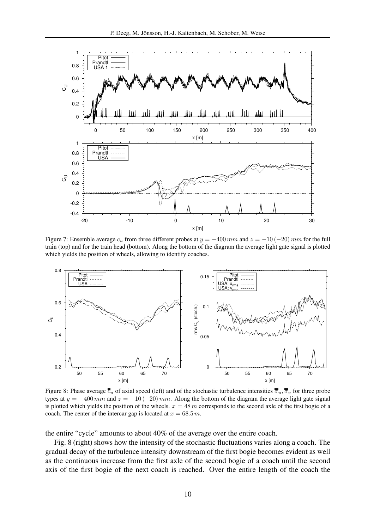

Figure 7: Ensemble average  $\bar{c}_u$  from three different probes at  $y = -400$  mm and  $z = -10$  (-20) mm for the full train (top) and for the train head (bottom). Along the bottom of the diagram the average light gate signal is plotted which yields the position of wheels, allowing to identify coaches.



Figure 8: Phase average  $\bar{\bar{c}}_u$  of axial speed (left) and of the stochastic turbulence intensities  $\bar{\bar{\sigma}}_u, \bar{\bar{\sigma}}_v$  for three probe types at  $y = -400 \, mm$  and  $z = -10 (-20) \, mm$ . Along the bottom of the diagram the average light gate signal is plotted which yields the position of the wheels.  $x = 48$  m corresponds to the second axle of the first bogie of a coach. The center of the intercar gap is located at  $x = 68.5$  m.

the entire "cycle" amounts to about 40% of the average over the entire coach.

Fig. 8 (right) shows how the intensity of the stochastic fluctuations varies along a coach. The gradual decay of the turbulence intensity downstream of the first bogie becomes evident as well as the continuous increase from the first axle of the second bogie of a coach until the second axis of the first bogie of the next coach is reached. Over the entire length of the coach the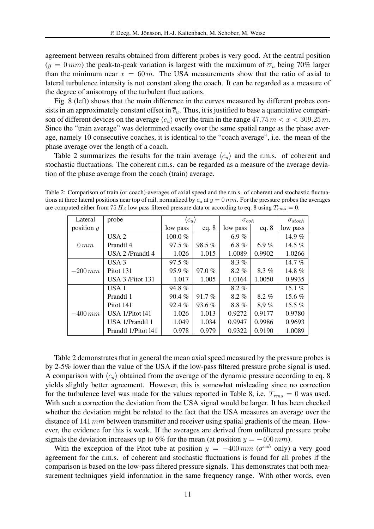agreement between results obtained from different probes is very good. At the central position  $(y = 0 \, mm)$  the peak-to-peak variation is largest with the maximum of  $\overline{\overline{\sigma}}_u$  being 70% larger than the minimum near  $x = 60 m$ . The USA measurements show that the ratio of axial to lateral turbulence intensity is not constant along the coach. It can be regarded as a measure of the degree of anisotropy of the turbulent fluctuations.

Fig. 8 (left) shows that the main difference in the curves measured by different probes consists in an approximately constant offset in  $\overline{c}_u$ . Thus, it is justified to base a quantitative comparison of different devices on the average  $\langle c_u \rangle$  over the train in the range 47.75  $m < x < 309.25$  m. Since the "train average" was determined exactly over the same spatial range as the phase average, namely 10 consecutive coaches, it is identical to the "coach average", i.e. the mean of the phase average over the length of a coach.

Table 2 summarizes the results for the train average  $\langle c_u \rangle$  and the r.m.s. of coherent and stochastic fluctuations. The coherent r.m.s. can be regarded as a measure of the average deviation of the phase average from the coach (train) average.

Table 2: Comparison of train (or coach)-averages of axial speed and the r.m.s. of coherent and stochastic fluctuations at three lateral positions near top of rail, normalized by  $c_u$  at  $y = 0$  mm. For the pressure probes the averages are computed either from 75 Hz low pass filtered pressure data or according to eq. 8 using  $T_{rms} = 0$ .

| Lateral      | probe               | $\langle c_u \rangle$ |           | $\sigma_{coh}$ |         | $\sigma_{stoch}$ |
|--------------|---------------------|-----------------------|-----------|----------------|---------|------------------|
| position $y$ |                     | low pass              | eq. $8$   | low pass       | eq. $8$ | low pass         |
| $0 \, mm$    | USA <sub>2</sub>    | 100.0%                |           | 6.9 $%$        |         | 14.9%            |
|              | Prandtl 4           | $97.5\%$              | 98.5%     | 6.8 $%$        | 6.9%    | 14.5 $%$         |
|              | USA 2 /Prandtl 4    | 1.026                 | 1.015     | 1.0089         | 0.9902  | 1.0266           |
|              | USA <sub>3</sub>    | $97.5\%$              |           | $8.3\%$        |         | 14.7 $%$         |
| $-200$ mm    | Pitot 131           | 95.9%                 | $97.0 \%$ | $8.2\%$        | $8.3\%$ | 14.8%            |
|              | USA $3$ /Pitot 131  | 1.017                 | 1.005     | 1.0164         | 1.0050  | 0.9935           |
|              | USA <sub>1</sub>    | 94.8%                 |           | $8.2\%$        |         | 15.1 $%$         |
|              | Prandtl 1           | $90.4\%$              | 91.7%     | $8.2\%$        | $8.2\%$ | 15.6 $%$         |
|              | Pitot 141           | $92.4\%$              | 93.6 $%$  | $8.8\%$        | 8.9%    | 15.5 $%$         |
| $-400$ mm    | USA 1/Pitot 141     | 1.026                 | 1.013     | 0.9272         | 0.9177  | 0.9780           |
|              | USA 1/Prandtl 1     | 1.049                 | 1.034     | 0.9947         | 0.9986  | 0.9693           |
|              | Prandtl 1/Pitot 141 | 0.978                 | 0.979     | 0.9322         | 0.9190  | 1.0089           |

Table 2 demonstrates that in general the mean axial speed measured by the pressure probes is by 2-5% lower than the value of the USA if the low-pass filtered pressure probe signal is used. A comparison with  $\langle c_u \rangle$  obtained from the average of the dynamic pressure according to eq. 8 yields slightly better agreement. However, this is somewhat misleading since no correction for the turbulence level was made for the values reported in Table 8, i.e.  $T_{rms} = 0$  was used. With such a correction the deviation from the USA signal would be larger. It has been checked whether the deviation might be related to the fact that the USA measures an average over the distance of 141  $mm$  between transmitter and receiver using spatial gradients of the mean. However, the evidence for this is weak. If the averages are derived from unfiltered pressure probe signals the deviation increases up to 6% for the mean (at position  $y = -400 \, mm$ ).

With the exception of the Pitot tube at position  $y = -400 \, mm$  ( $\sigma^{coh}$  only) a very good agreement for the r.m.s. of coherent and stochastic fluctuations is found for all probes if the comparison is based on the low-pass filtered pressure signals. This demonstrates that both measurement techniques yield information in the same frequency range. With other words, even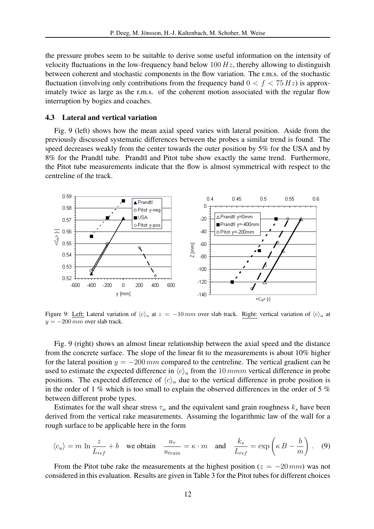the pressure probes seem to be suitable to derive some useful information on the intensity of velocity fluctuations in the low-frequency band below  $100 Hz$ , thereby allowing to distinguish between coherent and stochastic components in the flow variation. The r.m.s. of the stochastic fluctuation (involving only contributions from the frequency band  $0 < f < 75 Hz$ ) is approximately twice as large as the r.m.s. of the coherent motion associated with the regular flow interruption by bogies and coaches.

### 4.3 Lateral and vertical variation

Fig. 9 (left) shows how the mean axial speed varies with lateral position. Aside from the previously discussed systematic differences between the probes a similar trend is found. The speed decreases weakly from the center towards the outer position by 5% for the USA and by 8% for the Prandtl tube. Prandtl and Pitot tube show exactly the same trend. Furthermore, the Pitot tube measurements indicate that the flow is almost symmetrical with respect to the centreline of the track.



Figure 9: Left: Lateral variation of  $\langle c \rangle_u$  at  $z = -10 \, mm$  over slab track. Right: vertical variation of  $\langle c \rangle_u$  at  $y = -200$  mm over slab track.

Fig. 9 (right) shows an almost linear relationship between the axial speed and the distance from the concrete surface. The slope of the linear fit to the measurements is about 10% higher for the lateral position  $y = -200 \, mm$  compared to the centreline. The vertical gradient can be used to estimate the expected difference in  $\langle c \rangle_u$  from the 10 mmm vertical difference in probe positions. The expected difference of  $\langle c \rangle_u$  due to the vertical difference in probe position is in the order of 1 % which is too small to explain the observed differences in the order of 5 % between different probe types.

Estimates for the wall shear stress  $\tau_w$  and the equivalent sand grain roughness  $k_s$  have been derived from the vertical rake measurements. Assuming the logarithmic law of the wall for a rough surface to be applicable here in the form

$$
\langle c_u \rangle = m \ln \frac{z}{L_{ref}} + b
$$
 we obtain  $\frac{u_{\tau}}{u_{train}} = \kappa \cdot m$  and  $\frac{k_s}{L_{ref}} = \exp\left(\kappa B - \frac{b}{m}\right)$ . (9)

From the Pitot tube rake the measurements at the highest position ( $z = -20 \, mm$ ) was not considered in this evaluation. Results are given in Table 3 for the Pitot tubes for different choices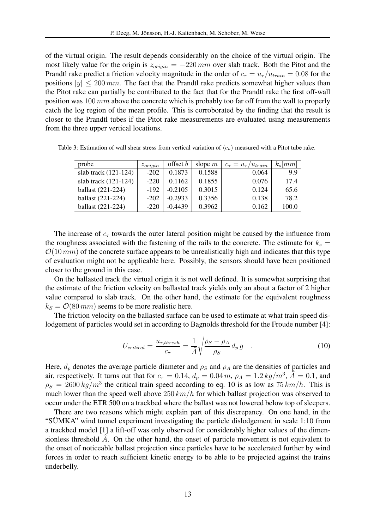of the virtual origin. The result depends considerably on the choice of the virtual origin. The most likely value for the origin is  $z_{origin} = -220 \, mm$  over slab track. Both the Pitot and the Prandtl rake predict a friction velocity magnitude in the order of  $c_\tau = u_\tau / u_{train} = 0.08$  for the positions  $|y| \leq 200 \, \text{mm}$ . The fact that the Prandtl rake predicts somewhat higher values than the Pitot rake can partially be contributed to the fact that for the Prandtl rake the first off-wall position was  $100 \, mm$  above the concrete which is probably too far off from the wall to properly catch the log region of the mean profile. This is corroborated by the finding that the result is closer to the Prandtl tubes if the Pitot rake measurements are evaluated using measurements from the three upper vertical locations.

| probe                  | $z_{origin}$ | offset b  | slope $m$ | $c_{\tau} = u_{\tau}/u_{train}$ | $k_s$  mm |
|------------------------|--------------|-----------|-----------|---------------------------------|-----------|
| slab track $(121-124)$ | $-202$       | 0.1873    | 0.1588    | 0.064                           | 9.9       |
| slab track $(121-124)$ | $-220$       | 0.1162    | 0.1855    | 0.076                           | 17.4      |
| ballast (221-224)      | $-192$       | $-0.2105$ | 0.3015    | 0.124                           | 65.6      |
| ballast (221-224)      | $-202$       | $-0.2933$ | 0.3356    | 0.138                           | 78.2      |
| ballast (221-224)      | $-220$       | $-0.4439$ | 0.3962    | 0.162                           | 100.0     |

Table 3: Estimation of wall shear stress from vertical variation of  $\langle c_u \rangle$  measured with a Pitot tube rake.

The increase of  $c_{\tau}$  towards the outer lateral position might be caused by the influence from the roughness associated with the fastening of the rails to the concrete. The estimate for  $k_s =$  $O(10 \, mm)$  of the concrete surface appears to be unrealistically high and indicates that this type of evaluation might not be applicable here. Possibly, the sensors should have been positioned closer to the ground in this case.

On the ballasted track the virtual origin it is not well defined. It is somewhat surprising that the estimate of the friction velocity on ballasted track yields only an about a factor of 2 higher value compared to slab track. On the other hand, the estimate for the equivalent roughness  $k_S = \mathcal{O}(80 \, \text{mm})$  seems to be more realistic here.

The friction velocity on the ballasted surface can be used to estimate at what train speed dislodgement of particles would set in according to Bagnolds threshold for the Froude number [4]:

$$
U_{critical} = \frac{u_{\tau,thresh}}{c_{\tau}} = \frac{1}{\widehat{A}} \sqrt{\frac{\rho_S - \rho_A}{\rho_S} d_p g} \quad . \tag{10}
$$

Here,  $d_p$  denotes the average particle diameter and  $\rho_S$  and  $\rho_A$  are the densities of particles and air, respectively. It turns out that for  $c_{\tau} = 0.14$ ,  $d_p = 0.04$  m,  $\rho_A = 1.2$  kg/m<sup>3</sup>,  $\hat{A} = 0.1$ , and  $\rho_S = 2600 \frac{kg}{m^3}$  the critical train speed according to eq. 10 is as low as  $75 \frac{km}{h}$ . This is much lower than the speed well above  $250 \, km/h$  for which ballast projection was observed to occur under the ETR 500 on a trackbed where the ballast was not lowered below top of sleepers.

There are two reasons which might explain part of this discrepancy. On one hand, in the "SUMKA" wind tunnel experiment investigating the particle dislodgement in scale 1:10 from ¨ a trackbed model [1] a lift-off was only observed for considerably higher values of the dimensionless threshold  $\ddot{A}$ . On the other hand, the onset of particle movement is not equivalent to the onset of noticeable ballast projection since particles have to be accelerated further by wind forces in order to reach sufficient kinetic energy to be able to be projected against the trains underbelly.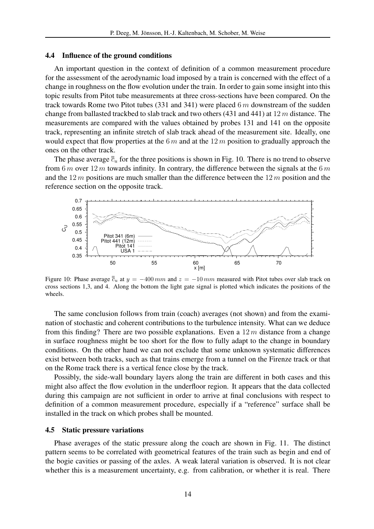#### 4.4 Influence of the ground conditions

An important question in the context of definition of a common measurement procedure for the assessment of the aerodynamic load imposed by a train is concerned with the effect of a change in roughness on the flow evolution under the train. In order to gain some insight into this topic results from Pitot tube measurements at three cross-sections have been compared. On the track towards Rome two Pitot tubes (331 and 341) were placed  $6m$  downstream of the sudden change from ballasted trackbed to slab track and two others (431 and 441) at  $12 m$  distance. The measurements are compared with the values obtained by probes 131 and 141 on the opposite track, representing an infinite stretch of slab track ahead of the measurement site. Ideally, one would expect that flow properties at the  $6m$  and at the  $12m$  position to gradually approach the ones on the other track.

The phase average  $\bar{\bar{c}}_u$  for the three positions is shown in Fig. 10. There is no trend to observe from 6 m over 12 m towards infinity. In contrary, the difference between the signals at the 6 m and the  $12 m$  positions are much smaller than the difference between the  $12 m$  position and the reference section on the opposite track.



Figure 10: Phase average  $\bar{\bar{c}}_u$  at  $y = -400$  mm and  $z = -10$  mm measured with Pitot tubes over slab track on cross sections 1,3, and 4. Along the bottom the light gate signal is plotted which indicates the positions of the wheels.

The same conclusion follows from train (coach) averages (not shown) and from the examination of stochastic and coherent contributions to the turbulence intensity. What can we deduce from this finding? There are two possible explanations. Even a  $12 m$  distance from a change in surface roughness might be too short for the flow to fully adapt to the change in boundary conditions. On the other hand we can not exclude that some unknown systematic differences exist between both tracks, such as that trains emerge from a tunnel on the Firenze track or that on the Rome track there is a vertical fence close by the track.

Possibly, the side-wall boundary layers along the train are different in both cases and this might also affect the flow evolution in the underfloor region. It appears that the data collected during this campaign are not sufficient in order to arrive at final conclusions with respect to definition of a common measurement procedure, especially if a "reference" surface shall be installed in the track on which probes shall be mounted.

#### 4.5 Static pressure variations

Phase averages of the static pressure along the coach are shown in Fig. 11. The distinct pattern seems to be correlated with geometrical features of the train such as begin and end of the bogie cavities or passing of the axles. A weak lateral variation is observed. It is not clear whether this is a measurement uncertainty, e.g. from calibration, or whether it is real. There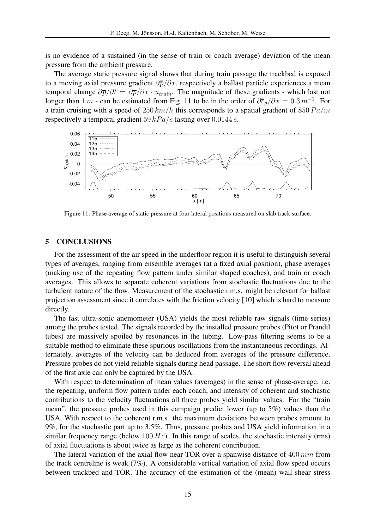is no evidence of a sustained (in the sense of train or coach average) deviation of the mean pressure from the ambient pressure.

The average static pressure signal shows that during train passage the trackbed is exposed to a moving axial pressure gradient  $\partial \overline{p}/\partial x$ , respectively a ballast particle experiences a mean temporal change  $\frac{\partial \overline{p}}{\partial t} = \frac{\partial \overline{p}}{\partial x} \cdot u_{train}$ . The magnitude of these gradients - which last not longer than 1 m - can be estimated from Fig. 11 to be in the order of  $\partial \bar{\overline{c}}_p / \partial x = 0.3 m^{-1}$ . For a train cruising with a speed of  $250 \, km/h$  this corresponds to a spatial gradient of  $850 Pa/m$ respectively a temporal gradient  $59 kPa/s$  lasting over 0.0144 s.



Figure 11: Phase average of static pressure at four lateral positions measured on slab track surface.

#### 5 CONCLUSIONS

For the assessment of the air speed in the underfloor region it is useful to distinguish several types of averages, ranging from ensemble averages (at a fixed axial position), phase averages (making use of the repeating flow pattern under similar shaped coaches), and train or coach averages. This allows to separate coherent variations from stochastic fluctuations due to the turbulent nature of the flow. Measurement of the stochastic r.m.s. might be relevant for ballast projection assessment since it correlates with the friction velocity [10] which is hard to measure directly.

The fast ultra-sonic anemometer (USA) yields the most reliable raw signals (time series) among the probes tested. The signals recorded by the installed pressure probes (Pitot or Prandtl tubes) are massively spoiled by resonances in the tubing. Low-pass filtering seems to be a suitable method to eliminate these spurious oscillations from the instantaneous recordings. Alternately, averages of the velocity can be deduced from averages of the pressure difference. Pressure probes do not yield reliable signals during head passage. The short flow reversal ahead of the first axle can only be captured by the USA.

With respect to determination of mean values (averages) in the sense of phase-average, i.e. the repeating, uniform flow pattern under each coach, and intensity of coherent and stochastic contributions to the velocity fluctuations all three probes yield similar values. For the "train mean", the pressure probes used in this campaign predict lower (up to 5%) values than the USA. With respect to the coherent r.m.s. the maximum deviations between probes amount to 9%, for the stochastic part up to 3.5%. Thus, pressure probes and USA yield information in a similar frequency range (below  $100 Hz$ ). In this range of scales, the stochastic intensity (rms) of axial fluctuations is about twice as large as the coherent contribution.

The lateral variation of the axial flow near TOR over a spanwise distance of  $400 \, mm$  from the track centreline is weak (7%). A considerable vertical variation of axial flow speed occurs between trackbed and TOR. The accuracy of the estimation of the (mean) wall shear stress